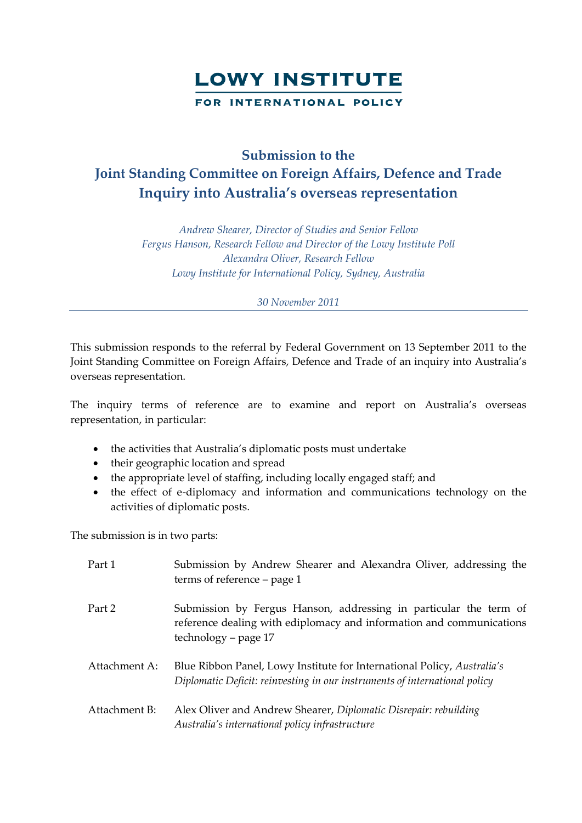

## **Submission to the Joint Standing Committee on Foreign Affairs, Defence and Trade Inquiry into Australia's overseas representation**

*Andrew Shearer, Director of Studies and Senior Fellow Fergus Hanson, Research Fellow and Director of the Lowy Institute Poll Alexandra Oliver, Research Fellow Lowy Institute for International Policy, Sydney, Australia*

*30 November 2011*

This submission responds to the referral by Federal Government on 13 September 2011 to the Joint Standing Committee on Foreign Affairs, Defence and Trade of an inquiry into Australia's overseas representation.

The inquiry terms of reference are to examine and report on Australia's overseas representation, in particular:

- the activities that Australia's diplomatic posts must undertake
- their geographic location and spread
- the appropriate level of staffing, including locally engaged staff; and
- the effect of e-diplomacy and information and communications technology on the activities of diplomatic posts.

The submission is in two parts:

| Part 1        | Submission by Andrew Shearer and Alexandra Oliver, addressing the<br>terms of reference $-$ page 1                                                                |
|---------------|-------------------------------------------------------------------------------------------------------------------------------------------------------------------|
| Part 2        | Submission by Fergus Hanson, addressing in particular the term of<br>reference dealing with ediplomacy and information and communications<br>technology – page 17 |
| Attachment A: | Blue Ribbon Panel, Lowy Institute for International Policy, Australia's<br>Diplomatic Deficit: reinvesting in our instruments of international policy             |
| Attachment B: | Alex Oliver and Andrew Shearer, Diplomatic Disrepair: rebuilding<br>Australia's international policy infrastructure                                               |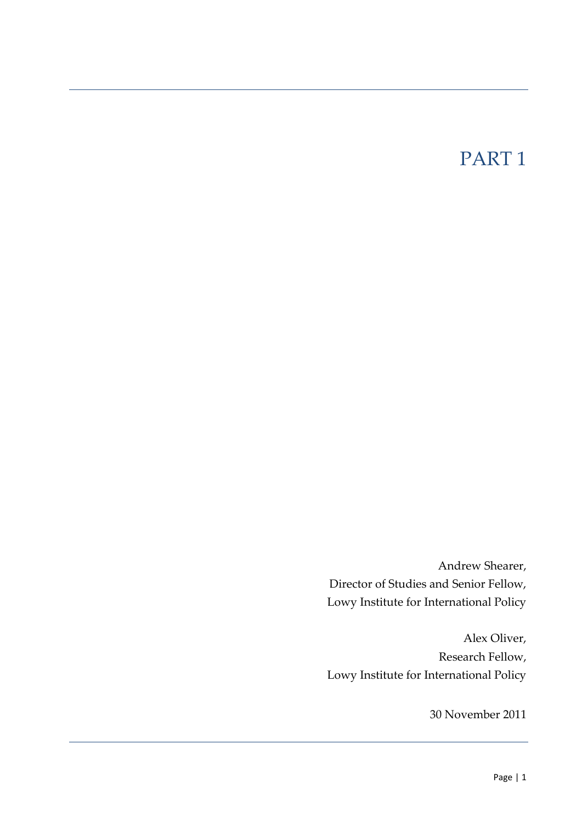## PART 1

Andrew Shearer, Director of Studies and Senior Fellow, Lowy Institute for International Policy

Alex Oliver, Research Fellow, Lowy Institute for International Policy

30 November 2011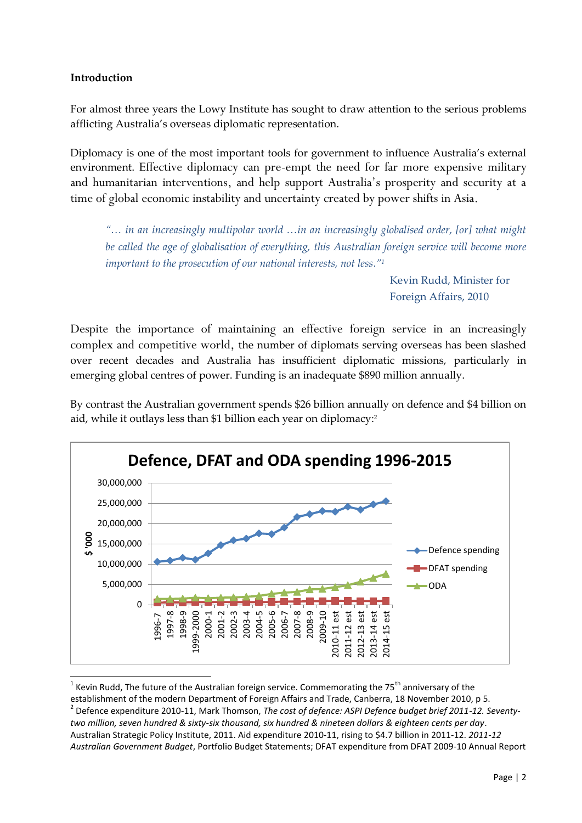## **Introduction**

For almost three years the Lowy Institute has sought to draw attention to the serious problems afflicting Australia's overseas diplomatic representation.

Diplomacy is one of the most important tools for government to influence Australia's external environment. Effective diplomacy can pre-empt the need for far more expensive military and humanitarian interventions, and help support Australia's prosperity and security at a time of global economic instability and uncertainty created by power shifts in Asia.

*"… in an increasingly multipolar world …in an increasingly globalised order, [or] what might be called the age of globalisation of everything, this Australian foreign service will become more important to the prosecution of our national interests, not less."<sup>1</sup>*

> Kevin Rudd, Minister for Foreign Affairs, 2010

Despite the importance of maintaining an effective foreign service in an increasingly complex and competitive world, the number of diplomats serving overseas has been slashed over recent decades and Australia has insufficient diplomatic missions, particularly in emerging global centres of power. Funding is an inadequate \$890 million annually.

By contrast the Australian government spends \$26 billion annually on defence and \$4 billion on aid, while it outlays less than \$1 billion each year on diplomacy: 2



1 Kevin Rudd, The future of the Australian foreign service. Commemorating the 75<sup>th</sup> anniversary of the establishment of the modern Department of Foreign Affairs and Trade, Canberra, 18 November 2010, p 5. 2 Defence expenditure 2010-11, Mark Thomson, *The cost of defence: ASPI Defence budget brief 2011-12. Seventytwo million, seven hundred & sixty-six thousand, six hundred & nineteen dollars & eighteen cents per day*. Australian Strategic Policy Institute, 2011. Aid expenditure 2010-11, rising to \$4.7 billion in 2011-12. *2011-12 Australian Government Budget*, Portfolio Budget Statements; DFAT expenditure from DFAT 2009-10 Annual Report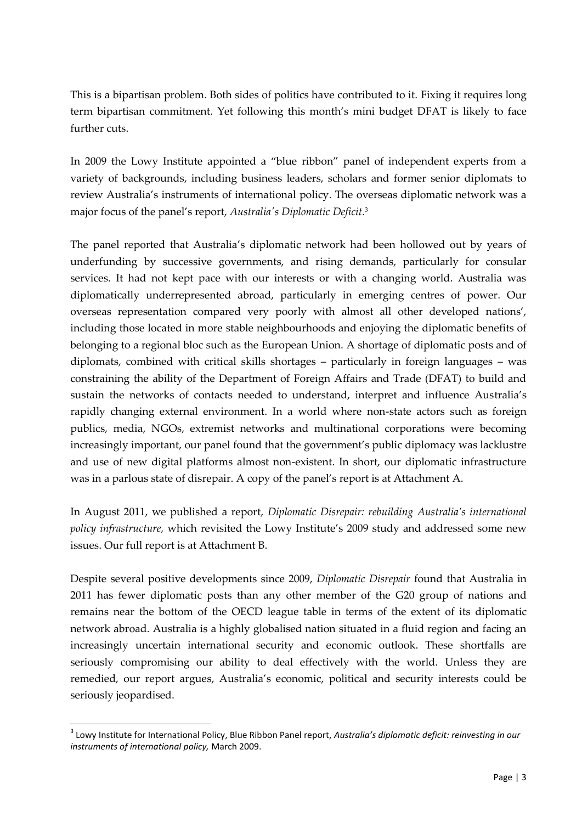This is a bipartisan problem. Both sides of politics have contributed to it. Fixing it requires long term bipartisan commitment. Yet following this month's mini budget DFAT is likely to face further cuts.

In 2009 the Lowy Institute appointed a 'blue ribbon' panel of independent experts from a variety of backgrounds, including business leaders, scholars and former senior diplomats to review Australia's instruments of international policy. The overseas diplomatic network was a major focus of the panel's report, *Australia's Diplomatic Deficit*. 3

The panel reported that Australia's diplomatic network had been hollowed out by years of underfunding by successive governments, and rising demands, particularly for consular services. It had not kept pace with our interests or with a changing world. Australia was diplomatically underrepresented abroad, particularly in emerging centres of power. Our overseas representation compared very poorly with almost all other developed nations', including those located in more stable neighbourhoods and enjoying the diplomatic benefits of belonging to a regional bloc such as the European Union. A shortage of diplomatic posts and of diplomats, combined with critical skills shortages – particularly in foreign languages – was constraining the ability of the Department of Foreign Affairs and Trade (DFAT) to build and sustain the networks of contacts needed to understand, interpret and influence Australia's rapidly changing external environment. In a world where non-state actors such as foreign publics, media, NGOs, extremist networks and multinational corporations were becoming increasingly important, our panel found that the government's public diplomacy was lacklustre and use of new digital platforms almost non-existent. In short, our diplomatic infrastructure was in a parlous state of disrepair. A copy of the panel's report is at Attachment A.

In August 2011, we published a report, *Diplomatic Disrepair: rebuilding Australia's international policy infrastructure,* which revisited the Lowy Institute's 2009 study and addressed some new issues. Our full report is at Attachment B.

Despite several positive developments since 2009, *Diplomatic Disrepair* found that Australia in 2011 has fewer diplomatic posts than any other member of the G20 group of nations and remains near the bottom of the OECD league table in terms of the extent of its diplomatic network abroad. Australia is a highly globalised nation situated in a fluid region and facing an increasingly uncertain international security and economic outlook. These shortfalls are seriously compromising our ability to deal effectively with the world. Unless they are remedied, our report argues, Australia's economic, political and security interests could be seriously jeopardised.

<sup>3</sup> Lowy Institute for International Policy, Blue Ribbon Panel report, *Australia's diplomatic deficit: reinvesting in our instruments of international policy,* March 2009.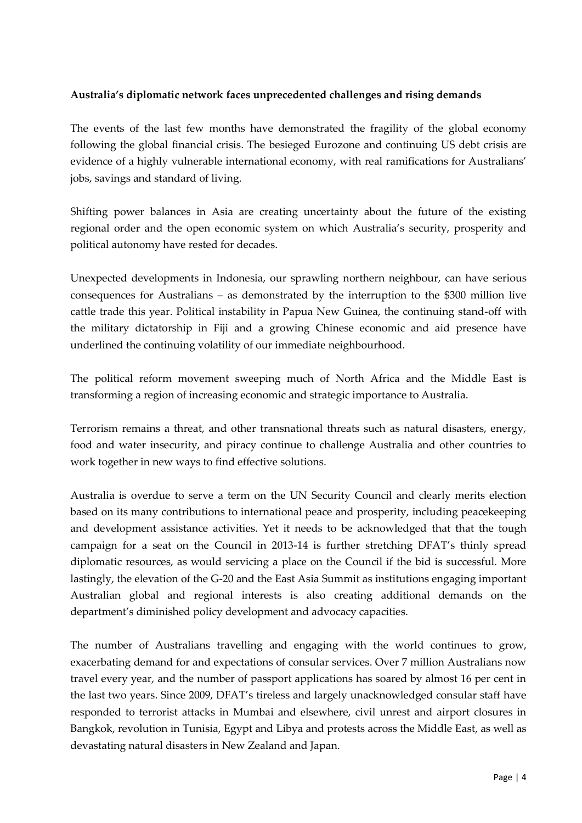## **Australia's diplomatic network faces unprecedented challenges and rising demands**

The events of the last few months have demonstrated the fragility of the global economy following the global financial crisis. The besieged Eurozone and continuing US debt crisis are evidence of a highly vulnerable international economy, with real ramifications for Australians' jobs, savings and standard of living.

Shifting power balances in Asia are creating uncertainty about the future of the existing regional order and the open economic system on which Australia's security, prosperity and political autonomy have rested for decades.

Unexpected developments in Indonesia, our sprawling northern neighbour, can have serious consequences for Australians – as demonstrated by the interruption to the \$300 million live cattle trade this year. Political instability in Papua New Guinea, the continuing stand-off with the military dictatorship in Fiji and a growing Chinese economic and aid presence have underlined the continuing volatility of our immediate neighbourhood.

The political reform movement sweeping much of North Africa and the Middle East is transforming a region of increasing economic and strategic importance to Australia.

Terrorism remains a threat, and other transnational threats such as natural disasters, energy, food and water insecurity, and piracy continue to challenge Australia and other countries to work together in new ways to find effective solutions.

Australia is overdue to serve a term on the UN Security Council and clearly merits election based on its many contributions to international peace and prosperity, including peacekeeping and development assistance activities. Yet it needs to be acknowledged that that the tough campaign for a seat on the Council in 2013-14 is further stretching DFAT's thinly spread diplomatic resources, as would servicing a place on the Council if the bid is successful. More lastingly, the elevation of the G-20 and the East Asia Summit as institutions engaging important Australian global and regional interests is also creating additional demands on the department's diminished policy development and advocacy capacities.

The number of Australians travelling and engaging with the world continues to grow, exacerbating demand for and expectations of consular services. Over 7 million Australians now travel every year, and the number of passport applications has soared by almost 16 per cent in the last two years. Since 2009, DFAT's tireless and largely unacknowledged consular staff have responded to terrorist attacks in Mumbai and elsewhere, civil unrest and airport closures in Bangkok, revolution in Tunisia, Egypt and Libya and protests across the Middle East, as well as devastating natural disasters in New Zealand and Japan.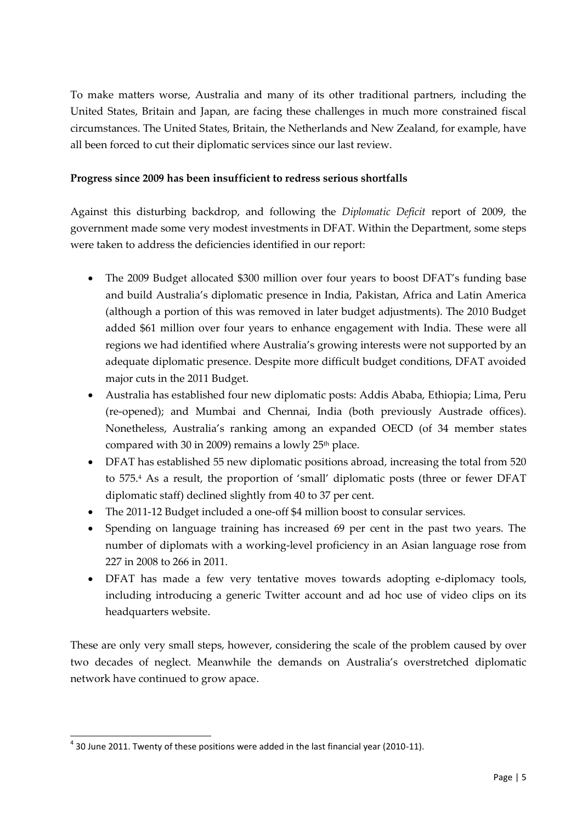To make matters worse, Australia and many of its other traditional partners, including the United States, Britain and Japan, are facing these challenges in much more constrained fiscal circumstances. The United States, Britain, the Netherlands and New Zealand, for example, have all been forced to cut their diplomatic services since our last review.

## **Progress since 2009 has been insufficient to redress serious shortfalls**

Against this disturbing backdrop, and following the *Diplomatic Deficit* report of 2009, the government made some very modest investments in DFAT. Within the Department, some steps were taken to address the deficiencies identified in our report:

- The 2009 Budget allocated \$300 million over four years to boost DFAT's funding base and build Australia's diplomatic presence in India, Pakistan, Africa and Latin America (although a portion of this was removed in later budget adjustments). The 2010 Budget added \$61 million over four years to enhance engagement with India. These were all regions we had identified where Australia's growing interests were not supported by an adequate diplomatic presence. Despite more difficult budget conditions, DFAT avoided major cuts in the 2011 Budget.
- Australia has established four new diplomatic posts: Addis Ababa, Ethiopia; Lima, Peru (re-opened); and Mumbai and Chennai, India (both previously Austrade offices). Nonetheless, Australia's ranking among an expanded OECD (of 34 member states compared with 30 in 2009) remains a lowly  $25<sup>th</sup>$  place.
- DFAT has established 55 new diplomatic positions abroad, increasing the total from 520 to 575.<sup>4</sup> As a result, the proportion of 'small' diplomatic posts (three or fewer DFAT diplomatic staff) declined slightly from 40 to 37 per cent.
- The 2011-12 Budget included a one-off \$4 million boost to consular services.
- Spending on language training has increased 69 per cent in the past two years. The number of diplomats with a working-level proficiency in an Asian language rose from 227 in 2008 to 266 in 2011.
- DFAT has made a few very tentative moves towards adopting e-diplomacy tools, including introducing a generic Twitter account and ad hoc use of video clips on its headquarters website.

These are only very small steps, however, considering the scale of the problem caused by over two decades of neglect. Meanwhile the demands on Australia's overstretched diplomatic network have continued to grow apace.

 $^4$  30 June 2011. Twenty of these positions were added in the last financial year (2010-11).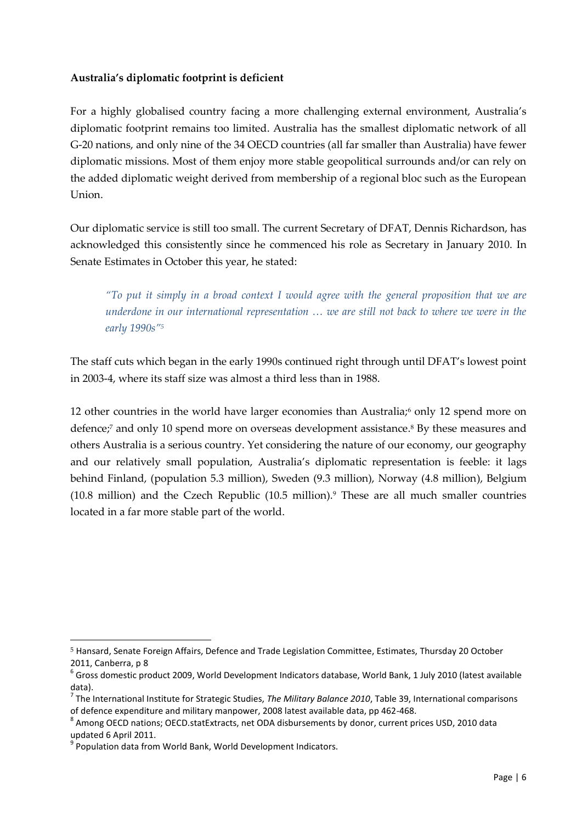## **Australia's diplomatic footprint is deficient**

For a highly globalised country facing a more challenging external environment, Australia's diplomatic footprint remains too limited. Australia has the smallest diplomatic network of all G-20 nations, and only nine of the 34 OECD countries (all far smaller than Australia) have fewer diplomatic missions. Most of them enjoy more stable geopolitical surrounds and/or can rely on the added diplomatic weight derived from membership of a regional bloc such as the European Union.

Our diplomatic service is still too small. The current Secretary of DFAT, Dennis Richardson, has acknowledged this consistently since he commenced his role as Secretary in January 2010. In Senate Estimates in October this year, he stated:

*"To put it simply in a broad context I would agree with the general proposition that we are underdone in our international representation … we are still not back to where we were in the early 1990s"<sup>5</sup>*

The staff cuts which began in the early 1990s continued right through until DFAT's lowest point in 2003-4, where its staff size was almost a third less than in 1988.

12 other countries in the world have larger economies than Australia;<sup>6</sup> only 12 spend more on defence;<sup>7</sup> and only 10 spend more on overseas development assistance.<sup>8</sup> By these measures and others Australia is a serious country. Yet considering the nature of our economy, our geography and our relatively small population, Australia's diplomatic representation is feeble: it lags behind Finland, (population 5.3 million), Sweden (9.3 million), Norway (4.8 million), Belgium  $(10.8 \text{ million})$  and the Czech Republic  $(10.5 \text{ million})$ .<sup>9</sup> These are all much smaller countries located in a far more stable part of the world.

<sup>-</sup><sup>5</sup> Hansard, Senate Foreign Affairs, Defence and Trade Legislation Committee, Estimates, Thursday 20 October 2011, Canberra, p 8

 $^6$  Gross domestic product 2009, World Development Indicators database, World Bank, 1 July 2010 (latest available data).

<sup>7</sup> The International Institute for Strategic Studies, *The Military Balance 2010*, Table 39, International comparisons of defence expenditure and military manpower, 2008 latest available data, pp 462-468.

<sup>&</sup>lt;sup>8</sup> Among OECD nations; OECD.statExtracts, net ODA disbursements by donor, current prices USD, 2010 data updated 6 April 2011.

<sup>&</sup>lt;sup>9</sup> Population data from World Bank, World Development Indicators.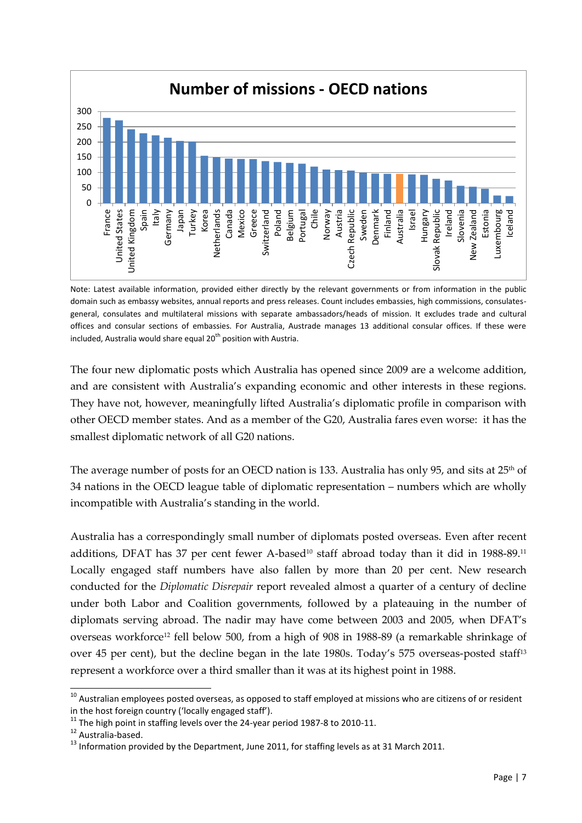

Note: Latest available information, provided either directly by the relevant governments or from information in the public domain such as embassy websites, annual reports and press releases. Count includes embassies, high commissions, consulatesgeneral, consulates and multilateral missions with separate ambassadors/heads of mission. It excludes trade and cultural offices and consular sections of embassies. For Australia, Austrade manages 13 additional consular offices. If these were included, Australia would share equal  $20<sup>th</sup>$  position with Austria.

The four new diplomatic posts which Australia has opened since 2009 are a welcome addition, and are consistent with Australia's expanding economic and other interests in these regions. They have not, however, meaningfully lifted Australia's diplomatic profile in comparison with other OECD member states. And as a member of the G20, Australia fares even worse: it has the smallest diplomatic network of all G20 nations.

The average number of posts for an OECD nation is 133. Australia has only 95, and sits at  $25<sup>th</sup>$  of 34 nations in the OECD league table of diplomatic representation – numbers which are wholly incompatible with Australia's standing in the world.

Australia has a correspondingly small number of diplomats posted overseas. Even after recent additions, DFAT has 37 per cent fewer A-based<sup>10</sup> staff abroad today than it did in 1988-89.<sup>11</sup> Locally engaged staff numbers have also fallen by more than 20 per cent. New research conducted for the *Diplomatic Disrepair* report revealed almost a quarter of a century of decline under both Labor and Coalition governments, followed by a plateauing in the number of diplomats serving abroad. The nadir may have come between 2003 and 2005, when DFAT's overseas workforce<sup>12</sup> fell below 500, from a high of 908 in 1988-89 (a remarkable shrinkage of over 45 per cent), but the decline began in the late 1980s. Today's 575 overseas-posted staff<sup>13</sup> represent a workforce over a third smaller than it was at its highest point in 1988.

 $10$  Australian employees posted overseas, as opposed to staff employed at missions who are citizens of or resident in the host foreign country ('locally engaged staff').

 $11$  The high point in staffing levels over the 24-year period 1987-8 to 2010-11.

<sup>12</sup> Australia-based.

 $13$  Information provided by the Department, June 2011, for staffing levels as at 31 March 2011.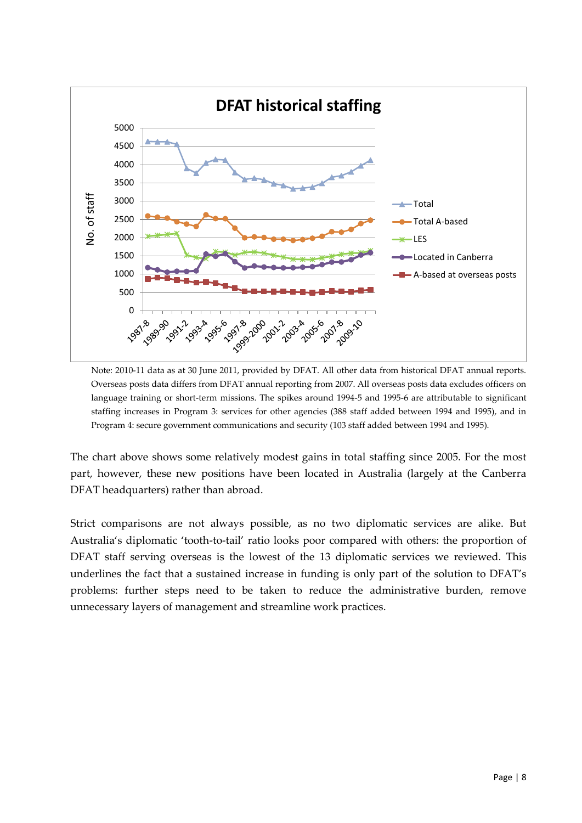

Note: 2010-11 data as at 30 June 2011, provided by DFAT. All other data from historical DFAT annual reports. Overseas posts data differs from DFAT annual reporting from 2007. All overseas posts data excludes officers on language training or short-term missions. The spikes around 1994-5 and 1995-6 are attributable to significant staffing increases in Program 3: services for other agencies (388 staff added between 1994 and 1995), and in Program 4: secure government communications and security (103 staff added between 1994 and 1995).

The chart above shows some relatively modest gains in total staffing since 2005. For the most part, however, these new positions have been located in Australia (largely at the Canberra DFAT headquarters) rather than abroad.

Strict comparisons are not always possible, as no two diplomatic services are alike. But Australia's diplomatic 'tooth-to-tail' ratio looks poor compared with others: the proportion of DFAT staff serving overseas is the lowest of the 13 diplomatic services we reviewed. This underlines the fact that a sustained increase in funding is only part of the solution to DFAT's problems: further steps need to be taken to reduce the administrative burden, remove unnecessary layers of management and streamline work practices.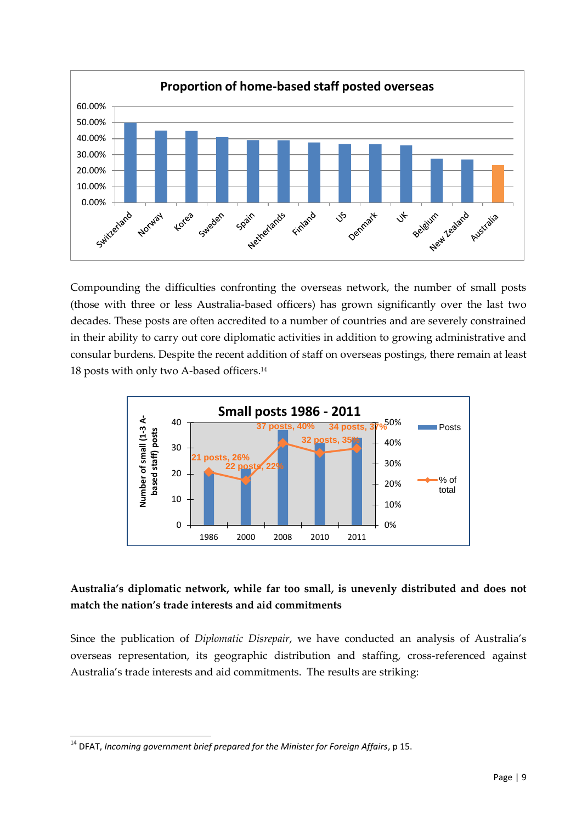

Compounding the difficulties confronting the overseas network, the number of small posts (those with three or less Australia-based officers) has grown significantly over the last two decades. These posts are often accredited to a number of countries and are severely constrained in their ability to carry out core diplomatic activities in addition to growing administrative and consular burdens. Despite the recent addition of staff on overseas postings, there remain at least 18 posts with only two A-based officers. 14



## **Australia's diplomatic network, while far too small, is unevenly distributed and does not match the nation's trade interests and aid commitments**

Since the publication of *Diplomatic Disrepair*, we have conducted an analysis of Australia's overseas representation, its geographic distribution and staffing, cross-referenced against Australia's trade interests and aid commitments. The results are striking:

<sup>-</sup><sup>14</sup> DFAT, *Incoming government brief prepared for the Minister for Foreign Affairs*, p 15.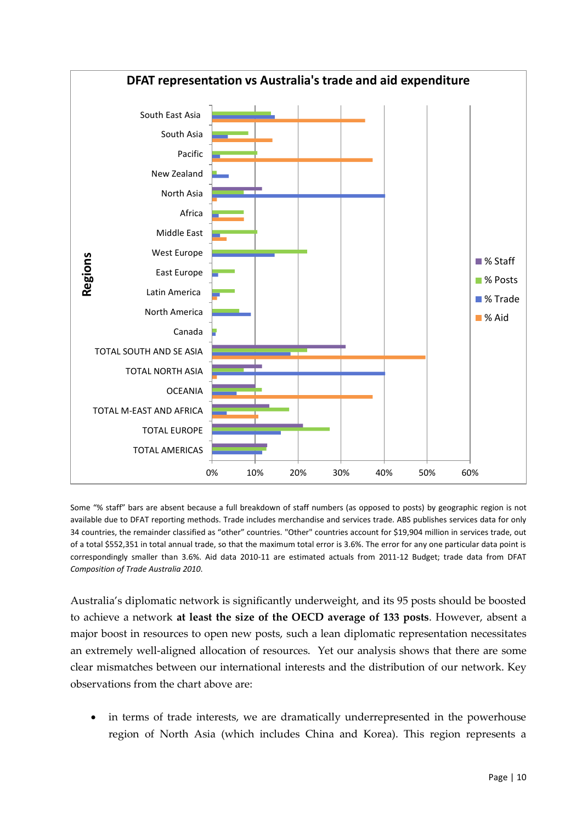

Some "% staff" bars are absent because a full breakdown of staff numbers (as opposed to posts) by geographic region is not available due to DFAT reporting methods. Trade includes merchandise and services trade. ABS publishes services data for only 34 countries, the remainder classified as "other" countries. "Other" countries account for \$19,904 million in services trade, out of a total \$552,351 in total annual trade, so that the maximum total error is 3.6%. The error for any one particular data point is correspondingly smaller than 3.6%. Aid data 2010-11 are estimated actuals from 2011-12 Budget; trade data from DFAT *Composition of Trade Australia 2010*.

Australia's diplomatic network is significantly underweight, and its 95 posts should be boosted to achieve a network **at least the size of the OECD average of 133 posts**. However, absent a major boost in resources to open new posts, such a lean diplomatic representation necessitates an extremely well-aligned allocation of resources. Yet our analysis shows that there are some clear mismatches between our international interests and the distribution of our network. Key observations from the chart above are:

 in terms of trade interests, we are dramatically underrepresented in the powerhouse region of North Asia (which includes China and Korea). This region represents a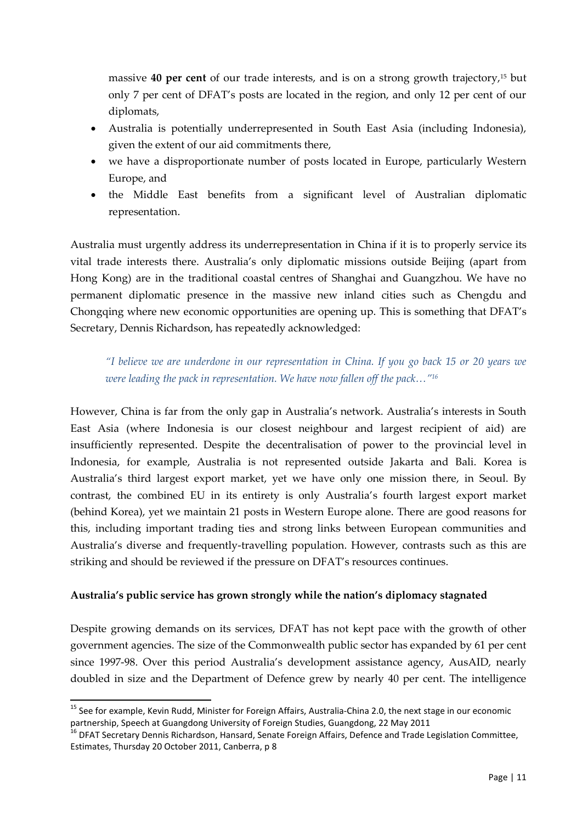massive **40 per cent** of our trade interests, and is on a strong growth trajectory,<sup>15</sup> but only 7 per cent of DFAT's posts are located in the region, and only 12 per cent of our diplomats,

- Australia is potentially underrepresented in South East Asia (including Indonesia), given the extent of our aid commitments there,
- we have a disproportionate number of posts located in Europe, particularly Western Europe, and
- the Middle East benefits from a significant level of Australian diplomatic representation.

Australia must urgently address its underrepresentation in China if it is to properly service its vital trade interests there. Australia's only diplomatic missions outside Beijing (apart from Hong Kong) are in the traditional coastal centres of Shanghai and Guangzhou. We have no permanent diplomatic presence in the massive new inland cities such as Chengdu and Chongqing where new economic opportunities are opening up. This is something that DFAT's Secretary, Dennis Richardson, has repeatedly acknowledged:

*"I believe we are underdone in our representation in China. If you go back 15 or 20 years we were leading the pack in representation. We have now fallen off the pack…" 16*

However, China is far from the only gap in Australia's network. Australia's interests in South East Asia (where Indonesia is our closest neighbour and largest recipient of aid) are insufficiently represented. Despite the decentralisation of power to the provincial level in Indonesia, for example, Australia is not represented outside Jakarta and Bali. Korea is Australia's third largest export market, yet we have only one mission there, in Seoul. By contrast, the combined EU in its entirety is only Australia's fourth largest export market (behind Korea), yet we maintain 21 posts in Western Europe alone. There are good reasons for this, including important trading ties and strong links between European communities and Australia's diverse and frequently-travelling population. However, contrasts such as this are striking and should be reviewed if the pressure on DFAT's resources continues.

## **Australia's public service has grown strongly while the nation's diplomacy stagnated**

Despite growing demands on its services, DFAT has not kept pace with the growth of other government agencies. The size of the Commonwealth public sector has expanded by 61 per cent since 1997-98. Over this period Australia's development assistance agency, AusAID, nearly doubled in size and the Department of Defence grew by nearly 40 per cent. The intelligence

<sup>&</sup>lt;sup>15</sup> See for example, Kevin Rudd, Minister for Foreign Affairs, Australia-China 2.0, the next stage in our economic partnership, Speech at Guangdong University of Foreign Studies, Guangdong, 22 May 2011

<sup>&</sup>lt;sup>16</sup> DFAT Secretary Dennis Richardson, Hansard, Senate Foreign Affairs, Defence and Trade Legislation Committee, Estimates, Thursday 20 October 2011, Canberra, p 8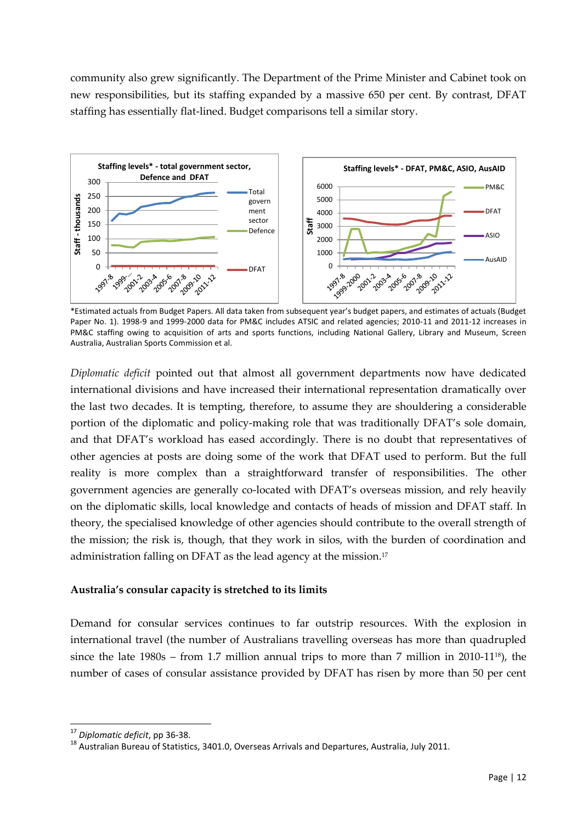community also grew significantly. The Department of the Prime Minister and Cabinet took on new responsibilities, but its staffing expanded by a massive 650 per cent. By contrast, DFAT staffing has essentially flat-lined. Budget comparisons tell a similar story.



\*Estimated actuals from Budget Papers. All data taken from subsequent year's budget papers, and estimates of actuals (Budget Paper No. 1). 1998-9 and 1999-2000 data for PM&C includes ATSIC and related agencies; 2010-11 and 2011-12 increases in PM&C staffing owing to acquisition of arts and sports functions, including National Gallery, Library and Museum, Screen Australia, Australian Sports Commission et al.

*Diplomatic deficit* pointed out that almost all government departments now have dedicated international divisions and have increased their international representation dramatically over the last two decades. It is tempting, therefore, to assume they are shouldering a considerable portion of the diplomatic and policy-making role that was traditionally DFAT's sole domain, and that DFAT's workload has eased accordingly. There is no doubt that representatives of other agencies at posts are doing some of the work that DFAT used to perform. But the full reality is more complex than a straightforward transfer of responsibilities. The other government agencies are generally co-located with DFAT's overseas mission, and rely heavily on the diplomatic skills, local knowledge and contacts of heads of mission and DFAT staff. In theory, the specialised knowledge of other agencies should contribute to the overall strength of the mission; the risk is, though, that they work in silos, with the burden of coordination and administration falling on DFAT as the lead agency at the mission.<sup>17</sup>

#### **Australia's consular capacity is stretched to its limits**

Demand for consular services continues to far outstrip resources. With the explosion in international travel (the number of Australians travelling overseas has more than quadrupled since the late  $1980s$  – from 1.7 million annual trips to more than 7 million in 2010-11<sup>18</sup>), the number of cases of consular assistance provided by DFAT has risen by more than 50 per cent

<sup>17</sup> *Diplomatic deficit*, pp 36-38.

<sup>&</sup>lt;sup>18</sup> Australian Bureau of Statistics, 3401.0, Overseas Arrivals and Departures, Australia, July 2011.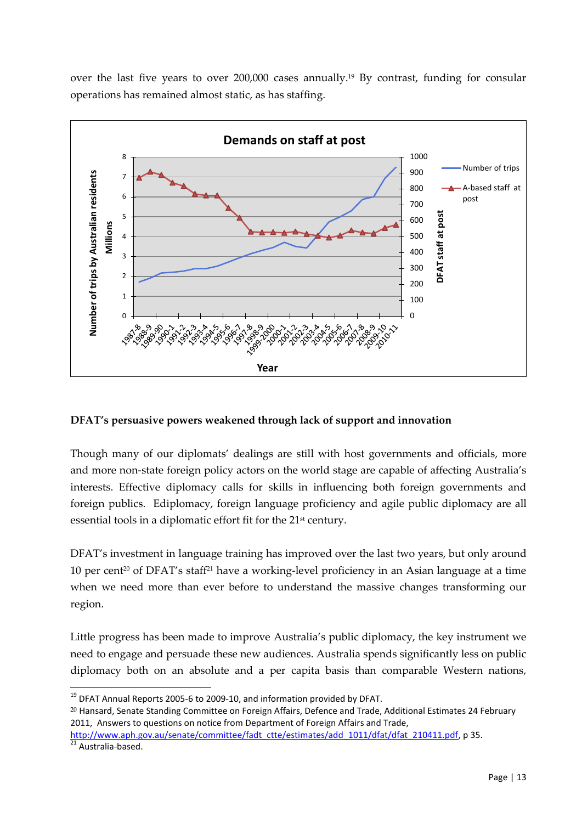over the last five years to over 200,000 cases annually.<sup>19</sup> By contrast, funding for consular operations has remained almost static, as has staffing.



#### **DFAT's persuasive powers weakened through lack of support and innovation**

Though many of our diplomats' dealings are still with host governments and officials, more and more non-state foreign policy actors on the world stage are capable of affecting Australia's interests. Effective diplomacy calls for skills in influencing both foreign governments and foreign publics. Ediplomacy, foreign language proficiency and agile public diplomacy are all essential tools in a diplomatic effort fit for the 21<sup>st</sup> century.

DFAT's investment in language training has improved over the last two years, but only around 10 per cent<sup>20</sup> of DFAT's staff<sup>21</sup> have a working-level proficiency in an Asian language at a time when we need more than ever before to understand the massive changes transforming our region.

Little progress has been made to improve Australia's public diplomacy, the key instrument we need to engage and persuade these new audiences. Australia spends significantly less on public diplomacy both on an absolute and a per capita basis than comparable Western nations,

<sup>20</sup> Hansard, Senate Standing Committee on Foreign Affairs, Defence and Trade, Additional Estimates 24 February 2011, Answers to questions on notice from Department of Foreign Affairs and Trade,

 $^{19}$  DFAT Annual Reports 2005-6 to 2009-10, and information provided by DFAT.

[http://www.aph.gov.au/senate/committee/fadt\\_ctte/estimates/add\\_1011/dfat/dfat\\_210411.pdf,](http://www.aph.gov.au/senate/committee/fadt_ctte/estimates/add_1011/dfat/dfat_210411.pdf) p 35.

<sup>&</sup>lt;sup>21</sup> Australia-based.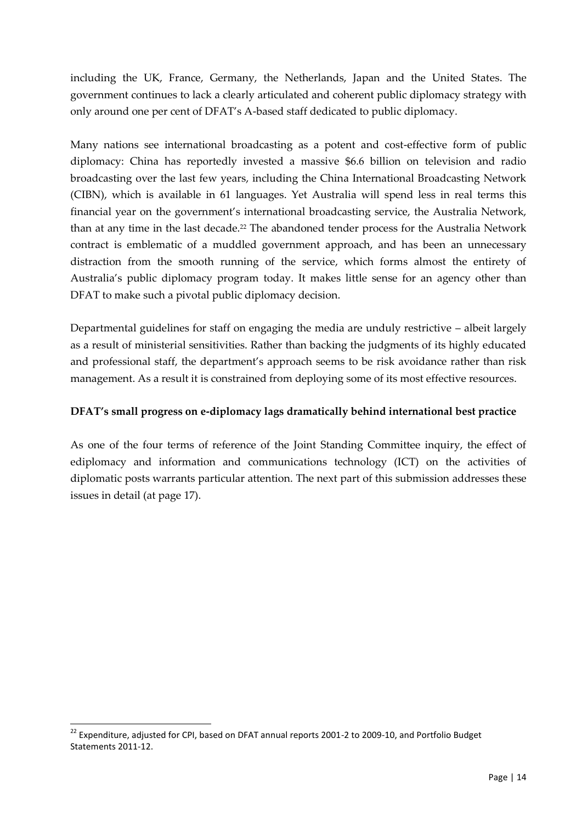including the UK, France, Germany, the Netherlands, Japan and the United States. The government continues to lack a clearly articulated and coherent public diplomacy strategy with only around one per cent of DFAT's A-based staff dedicated to public diplomacy.

Many nations see international broadcasting as a potent and cost-effective form of public diplomacy: China has reportedly invested a massive \$6.6 billion on television and radio broadcasting over the last few years, including the China International Broadcasting Network (CIBN), which is available in 61 languages. Yet Australia will spend less in real terms this financial year on the government's international broadcasting service, the Australia Network, than at any time in the last decade.<sup>22</sup> The abandoned tender process for the Australia Network contract is emblematic of a muddled government approach, and has been an unnecessary distraction from the smooth running of the service, which forms almost the entirety of Australia's public diplomacy program today. It makes little sense for an agency other than DFAT to make such a pivotal public diplomacy decision.

Departmental guidelines for staff on engaging the media are unduly restrictive – albeit largely as a result of ministerial sensitivities. Rather than backing the judgments of its highly educated and professional staff, the department's approach seems to be risk avoidance rather than risk management. As a result it is constrained from deploying some of its most effective resources.

## **DFAT's small progress on e-diplomacy lags dramatically behind international best practice**

As one of the four terms of reference of the Joint Standing Committee inquiry, the effect of ediplomacy and information and communications technology (ICT) on the activities of diplomatic posts warrants particular attention. The next part of this submission addresses these issues in detail (at page 17).

 $^{22}$  Expenditure, adjusted for CPI, based on DFAT annual reports 2001-2 to 2009-10, and Portfolio Budget Statements 2011-12.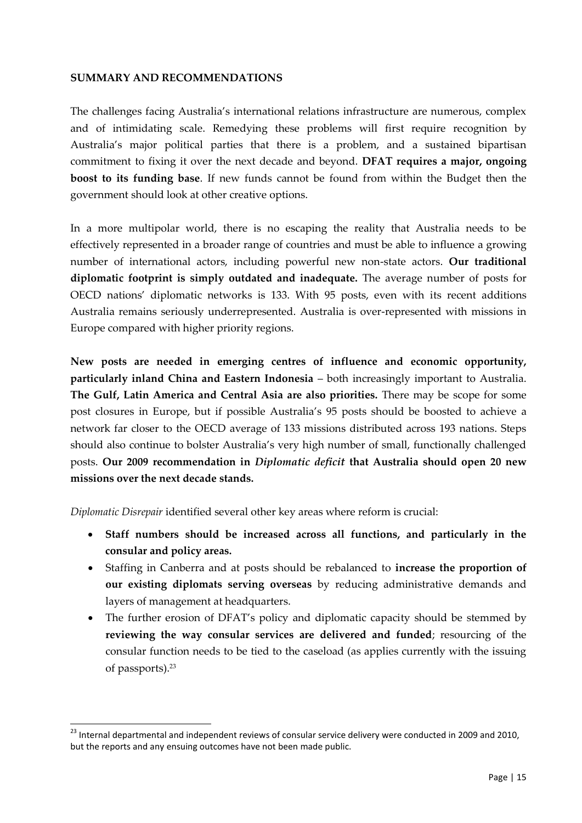#### **SUMMARY AND RECOMMENDATIONS**

The challenges facing Australia's international relations infrastructure are numerous, complex and of intimidating scale. Remedying these problems will first require recognition by Australia's major political parties that there is a problem, and a sustained bipartisan commitment to fixing it over the next decade and beyond. **DFAT requires a major, ongoing boost to its funding base**. If new funds cannot be found from within the Budget then the government should look at other creative options.

In a more multipolar world, there is no escaping the reality that Australia needs to be effectively represented in a broader range of countries and must be able to influence a growing number of international actors, including powerful new non-state actors. **Our traditional diplomatic footprint is simply outdated and inadequate.** The average number of posts for OECD nations' diplomatic networks is 133. With 95 posts, even with its recent additions Australia remains seriously underrepresented. Australia is over-represented with missions in Europe compared with higher priority regions.

**New posts are needed in emerging centres of influence and economic opportunity, particularly inland China and Eastern Indonesia** – both increasingly important to Australia. **The Gulf, Latin America and Central Asia are also priorities.** There may be scope for some post closures in Europe, but if possible Australia's 95 posts should be boosted to achieve a network far closer to the OECD average of 133 missions distributed across 193 nations. Steps should also continue to bolster Australia's very high number of small, functionally challenged posts. **Our 2009 recommendation in** *Diplomatic deficit* **that Australia should open 20 new missions over the next decade stands.**

*Diplomatic Disrepair* identified several other key areas where reform is crucial:

- **Staff numbers should be increased across all functions, and particularly in the consular and policy areas.**
- Staffing in Canberra and at posts should be rebalanced to **increase the proportion of our existing diplomats serving overseas** by reducing administrative demands and layers of management at headquarters.
- The further erosion of DFAT's policy and diplomatic capacity should be stemmed by **reviewing the way consular services are delivered and funded**; resourcing of the consular function needs to be tied to the caseload (as applies currently with the issuing of passports).<sup>23</sup>

 $^{23}$  Internal departmental and independent reviews of consular service delivery were conducted in 2009 and 2010, but the reports and any ensuing outcomes have not been made public.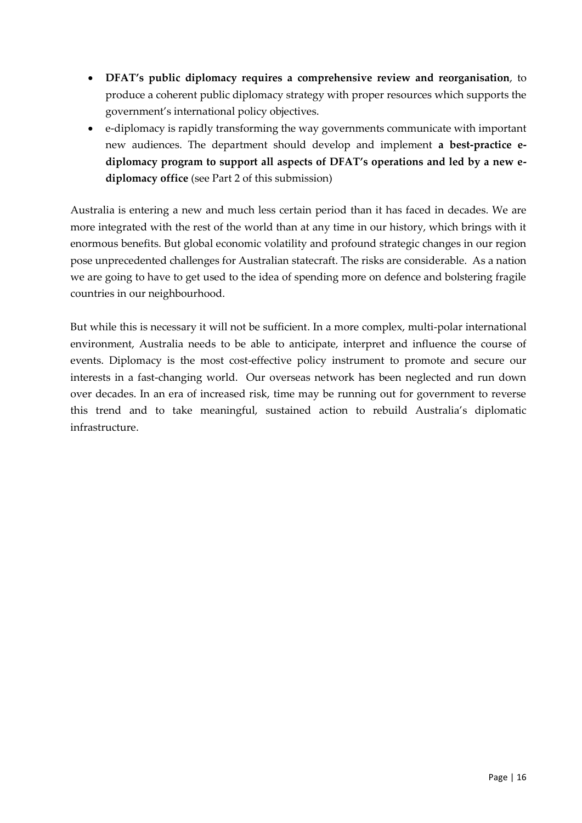- **DFAT's public diplomacy requires a comprehensive review and reorganisation**, to produce a coherent public diplomacy strategy with proper resources which supports the government's international policy objectives.
- e-diplomacy is rapidly transforming the way governments communicate with important new audiences. The department should develop and implement **a best-practice ediplomacy program to support all aspects of DFAT's operations and led by a new ediplomacy office** (see Part 2 of this submission)

Australia is entering a new and much less certain period than it has faced in decades. We are more integrated with the rest of the world than at any time in our history, which brings with it enormous benefits. But global economic volatility and profound strategic changes in our region pose unprecedented challenges for Australian statecraft. The risks are considerable. As a nation we are going to have to get used to the idea of spending more on defence and bolstering fragile countries in our neighbourhood.

But while this is necessary it will not be sufficient. In a more complex, multi-polar international environment, Australia needs to be able to anticipate, interpret and influence the course of events. Diplomacy is the most cost-effective policy instrument to promote and secure our interests in a fast-changing world. Our overseas network has been neglected and run down over decades. In an era of increased risk, time may be running out for government to reverse this trend and to take meaningful, sustained action to rebuild Australia's diplomatic infrastructure.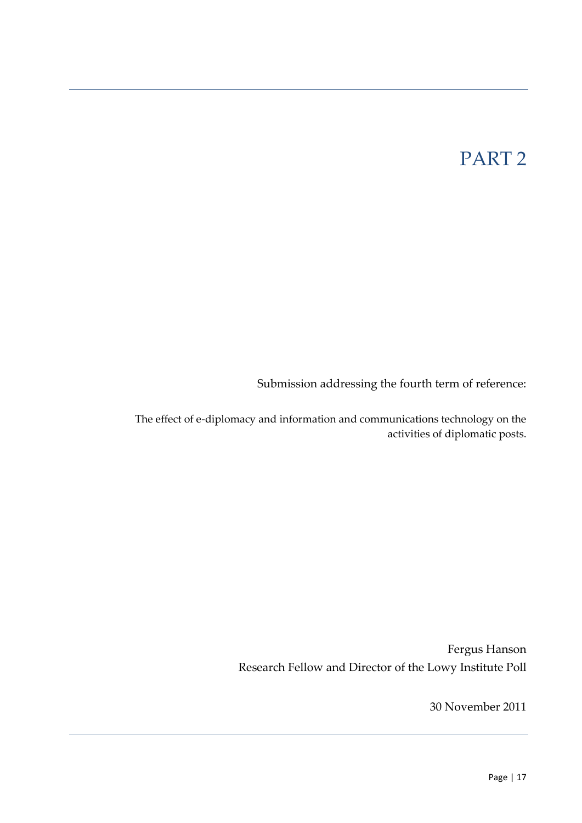# PART 2

Submission addressing the fourth term of reference:

The effect of e-diplomacy and information and communications technology on the activities of diplomatic posts.

> Fergus Hanson Research Fellow and Director of the Lowy Institute Poll

> > 30 November 2011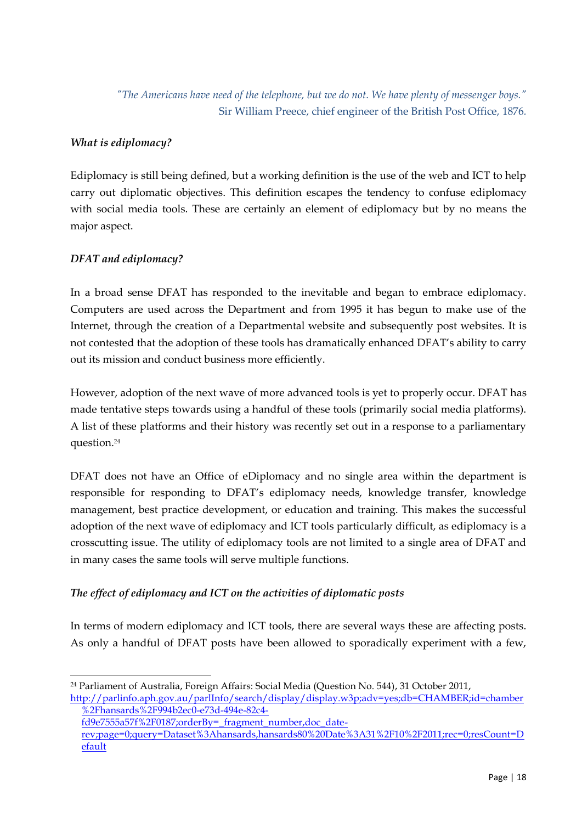*"The Americans have need of the telephone, but we do not. We have plenty of messenger boys."* Sir William Preece, chief engineer of the British Post Office, 1876*.*

## *What is ediplomacy?*

Ediplomacy is still being defined, but a working definition is the use of the web and ICT to help carry out diplomatic objectives. This definition escapes the tendency to confuse ediplomacy with social media tools. These are certainly an element of ediplomacy but by no means the major aspect.

### *DFAT and ediplomacy?*

-

In a broad sense DFAT has responded to the inevitable and began to embrace ediplomacy. Computers are used across the Department and from 1995 it has begun to make use of the Internet, through the creation of a Departmental website and subsequently post websites. It is not contested that the adoption of these tools has dramatically enhanced DFAT's ability to carry out its mission and conduct business more efficiently.

However, adoption of the next wave of more advanced tools is yet to properly occur. DFAT has made tentative steps towards using a handful of these tools (primarily social media platforms). A list of these platforms and their history was recently set out in a response to a parliamentary question.<sup>24</sup>

DFAT does not have an Office of eDiplomacy and no single area within the department is responsible for responding to DFAT's ediplomacy needs, knowledge transfer, knowledge management, best practice development, or education and training. This makes the successful adoption of the next wave of ediplomacy and ICT tools particularly difficult, as ediplomacy is a crosscutting issue. The utility of ediplomacy tools are not limited to a single area of DFAT and in many cases the same tools will serve multiple functions.

## *The effect of ediplomacy and ICT on the activities of diplomatic posts*

In terms of modern ediplomacy and ICT tools, there are several ways these are affecting posts. As only a handful of DFAT posts have been allowed to sporadically experiment with a few,

<sup>24</sup> Parliament of Australia, Foreign Affairs: Social Media (Question No. 544), 31 October 2011, [http://parlinfo.aph.gov.au/parlInfo/search/display/display.w3p;adv=yes;db=CHAMBER;id=chamber](http://parlinfo.aph.gov.au/parlInfo/search/display/display.w3p;adv=yes;db=CHAMBER;id=chamber%2Fhansards%2F994b2ec0-e73d-494e-82c4-fd9e7555a57f%2F0187;orderBy=_fragment_number,doc_date-rev;page=0;query=Dataset%3Ahansards,hansards80%20Date%3A31%2F10%2F2011;rec=0;resCount=Default) [%2Fhansards%2F994b2ec0-e73d-494e-82c4-](http://parlinfo.aph.gov.au/parlInfo/search/display/display.w3p;adv=yes;db=CHAMBER;id=chamber%2Fhansards%2F994b2ec0-e73d-494e-82c4-fd9e7555a57f%2F0187;orderBy=_fragment_number,doc_date-rev;page=0;query=Dataset%3Ahansards,hansards80%20Date%3A31%2F10%2F2011;rec=0;resCount=Default)

[fd9e7555a57f%2F0187;orderBy=\\_fragment\\_number,doc\\_date](http://parlinfo.aph.gov.au/parlInfo/search/display/display.w3p;adv=yes;db=CHAMBER;id=chamber%2Fhansards%2F994b2ec0-e73d-494e-82c4-fd9e7555a57f%2F0187;orderBy=_fragment_number,doc_date-rev;page=0;query=Dataset%3Ahansards,hansards80%20Date%3A31%2F10%2F2011;rec=0;resCount=Default)[rev;page=0;query=Dataset%3Ahansards,hansards80%20Date%3A31%2F10%2F2011;rec=0;resCount=D](http://parlinfo.aph.gov.au/parlInfo/search/display/display.w3p;adv=yes;db=CHAMBER;id=chamber%2Fhansards%2F994b2ec0-e73d-494e-82c4-fd9e7555a57f%2F0187;orderBy=_fragment_number,doc_date-rev;page=0;query=Dataset%3Ahansards,hansards80%20Date%3A31%2F10%2F2011;rec=0;resCount=Default) [efault](http://parlinfo.aph.gov.au/parlInfo/search/display/display.w3p;adv=yes;db=CHAMBER;id=chamber%2Fhansards%2F994b2ec0-e73d-494e-82c4-fd9e7555a57f%2F0187;orderBy=_fragment_number,doc_date-rev;page=0;query=Dataset%3Ahansards,hansards80%20Date%3A31%2F10%2F2011;rec=0;resCount=Default)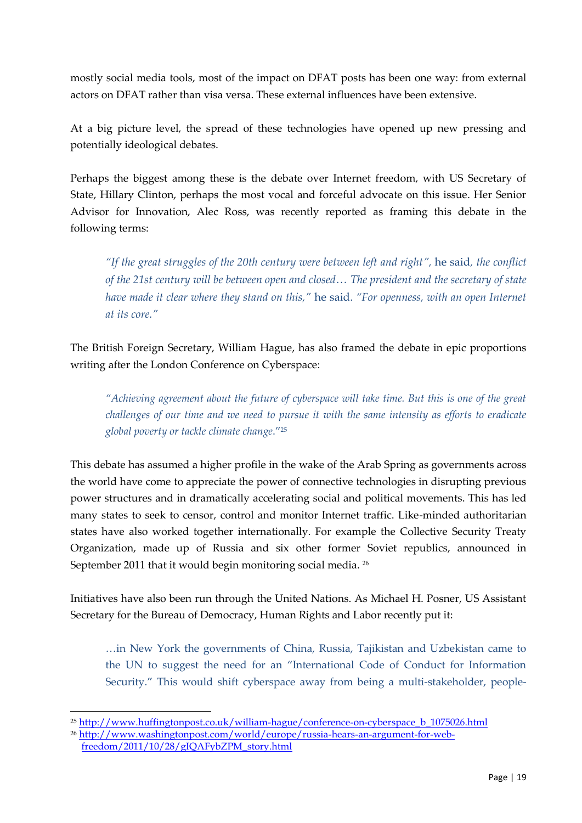mostly social media tools, most of the impact on DFAT posts has been one way: from external actors on DFAT rather than visa versa. These external influences have been extensive.

At a big picture level, the spread of these technologies have opened up new pressing and potentially ideological debates.

Perhaps the biggest among these is the debate over Internet freedom, with US Secretary of State, Hillary Clinton, perhaps the most vocal and forceful advocate on this issue. Her Senior Advisor for Innovation, Alec Ross, was recently reported as framing this debate in the following terms:

*"If the great struggles of the 20th century were between left and right",* he said*, the conflict of the 21st century will be between open and closed… The president and the secretary of state have made it clear where they stand on this,"* he said. *"For openness, with an open Internet at its core."*

The British Foreign Secretary, William Hague, has also framed the debate in epic proportions writing after the London Conference on Cyberspace:

*"Achieving agreement about the future of cyberspace will take time. But this is one of the great challenges of our time and we need to pursue it with the same intensity as efforts to eradicate global poverty or tackle climate change*.' 25

This debate has assumed a higher profile in the wake of the Arab Spring as governments across the world have come to appreciate the power of connective technologies in disrupting previous power structures and in dramatically accelerating social and political movements. This has led many states to seek to censor, control and monitor Internet traffic. Like-minded authoritarian states have also worked together internationally. For example the Collective Security Treaty Organization, made up of Russia and six other former Soviet republics, announced in September 2011 that it would begin monitoring social media. <sup>26</sup>

Initiatives have also been run through the United Nations. As Michael H. Posner, US Assistant Secretary for the Bureau of Democracy, Human Rights and Labor recently put it:

…in New York the governments of China, Russia, Tajikistan and Uzbekistan came to the UN to suggest the need for an 'International Code of Conduct for Information Security.' This would shift cyberspace away from being a multi-stakeholder, people-

<sup>-</sup><sup>25</sup> [http://www.huffingtonpost.co.uk/william-hague/conference-on-cyberspace\\_b\\_1075026.html](http://www.huffingtonpost.co.uk/william-hague/conference-on-cyberspace_b_1075026.html)

<sup>26</sup> [http://www.washingtonpost.com/world/europe/russia-hears-an-argument-for-web-](http://www.washingtonpost.com/world/europe/russia-hears-an-argument-for-web-freedom/2011/10/28/gIQAFybZPM_story.html)

[freedom/2011/10/28/gIQAFybZPM\\_story.html](http://www.washingtonpost.com/world/europe/russia-hears-an-argument-for-web-freedom/2011/10/28/gIQAFybZPM_story.html)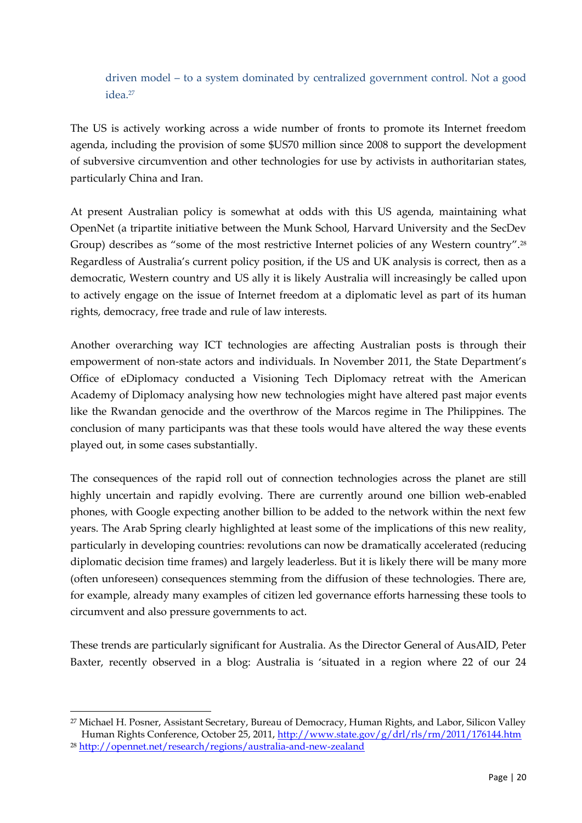## driven model – to a system dominated by centralized government control. Not a good idea.<sup>27</sup>

The US is actively working across a wide number of fronts to promote its Internet freedom agenda, including the provision of some \$US70 million since 2008 to support the development of subversive circumvention and other technologies for use by activists in authoritarian states, particularly China and Iran.

At present Australian policy is somewhat at odds with this US agenda, maintaining what OpenNet (a tripartite initiative between the Munk School, Harvard University and the SecDev Group) describes as "some of the most restrictive Internet policies of any Western country".<sup>28</sup> Regardless of Australia's current policy position, if the US and UK analysis is correct, then as a democratic, Western country and US ally it is likely Australia will increasingly be called upon to actively engage on the issue of Internet freedom at a diplomatic level as part of its human rights, democracy, free trade and rule of law interests.

Another overarching way ICT technologies are affecting Australian posts is through their empowerment of non-state actors and individuals. In November 2011, the State Department's Office of eDiplomacy conducted a Visioning Tech Diplomacy retreat with the American Academy of Diplomacy analysing how new technologies might have altered past major events like the Rwandan genocide and the overthrow of the Marcos regime in The Philippines. The conclusion of many participants was that these tools would have altered the way these events played out, in some cases substantially.

The consequences of the rapid roll out of connection technologies across the planet are still highly uncertain and rapidly evolving. There are currently around one billion web-enabled phones, with Google expecting another billion to be added to the network within the next few years. The Arab Spring clearly highlighted at least some of the implications of this new reality, particularly in developing countries: revolutions can now be dramatically accelerated (reducing diplomatic decision time frames) and largely leaderless. But it is likely there will be many more (often unforeseen) consequences stemming from the diffusion of these technologies. There are, for example, already many examples of citizen led governance efforts harnessing these tools to circumvent and also pressure governments to act.

These trends are particularly significant for Australia. As the Director General of AusAID, Peter Baxter, recently observed in a blog: Australia is 'situated in a region where 22 of our 24

<sup>27</sup> Michael H. Posner, Assistant Secretary, Bureau of Democracy, Human Rights, and Labor, Silicon Valley Human Rights Conference, October 25, 2011,<http://www.state.gov/g/drl/rls/rm/2011/176144.htm>

<sup>28</sup> <http://opennet.net/research/regions/australia-and-new-zealand>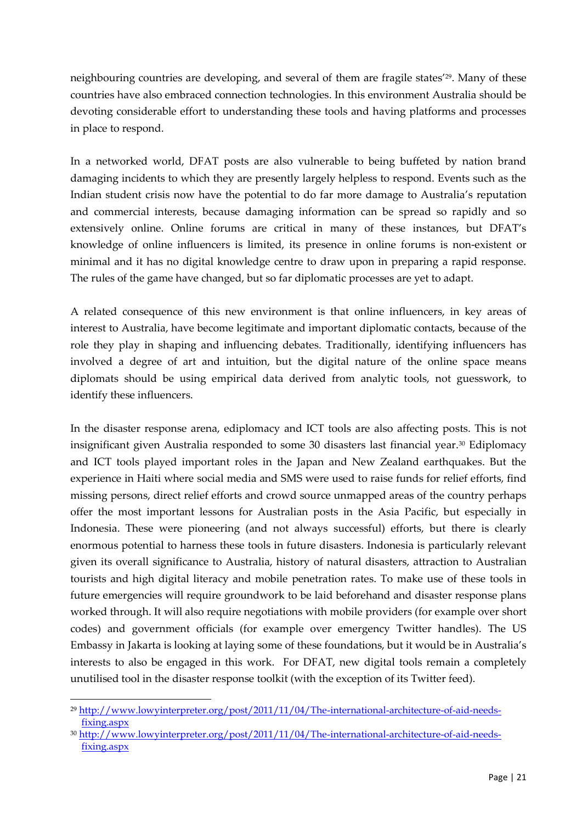neighbouring countries are developing, and several of them are fragile states'<sup>29</sup>. Many of these countries have also embraced connection technologies. In this environment Australia should be devoting considerable effort to understanding these tools and having platforms and processes in place to respond.

In a networked world, DFAT posts are also vulnerable to being buffeted by nation brand damaging incidents to which they are presently largely helpless to respond. Events such as the Indian student crisis now have the potential to do far more damage to Australia's reputation and commercial interests, because damaging information can be spread so rapidly and so extensively online. Online forums are critical in many of these instances, but DFAT's knowledge of online influencers is limited, its presence in online forums is non-existent or minimal and it has no digital knowledge centre to draw upon in preparing a rapid response. The rules of the game have changed, but so far diplomatic processes are yet to adapt.

A related consequence of this new environment is that online influencers, in key areas of interest to Australia, have become legitimate and important diplomatic contacts, because of the role they play in shaping and influencing debates. Traditionally, identifying influencers has involved a degree of art and intuition, but the digital nature of the online space means diplomats should be using empirical data derived from analytic tools, not guesswork, to identify these influencers.

In the disaster response arena, ediplomacy and ICT tools are also affecting posts. This is not insignificant given Australia responded to some 30 disasters last financial year.<sup>30</sup> Ediplomacy and ICT tools played important roles in the Japan and New Zealand earthquakes. But the experience in Haiti where social media and SMS were used to raise funds for relief efforts, find missing persons, direct relief efforts and crowd source unmapped areas of the country perhaps offer the most important lessons for Australian posts in the Asia Pacific, but especially in Indonesia. These were pioneering (and not always successful) efforts, but there is clearly enormous potential to harness these tools in future disasters. Indonesia is particularly relevant given its overall significance to Australia, history of natural disasters, attraction to Australian tourists and high digital literacy and mobile penetration rates. To make use of these tools in future emergencies will require groundwork to be laid beforehand and disaster response plans worked through. It will also require negotiations with mobile providers (for example over short codes) and government officials (for example over emergency Twitter handles). The US Embassy in Jakarta is looking at laying some of these foundations, but it would be in Australia's interests to also be engaged in this work. For DFAT, new digital tools remain a completely unutilised tool in the disaster response toolkit (with the exception of its Twitter feed).

<sup>29</sup> [http://www.lowyinterpreter.org/post/2011/11/04/The-international-architecture-of-aid-needs](http://www.lowyinterpreter.org/post/2011/11/04/The-international-architecture-of-aid-needs-fixing.aspx)[fixing.aspx](http://www.lowyinterpreter.org/post/2011/11/04/The-international-architecture-of-aid-needs-fixing.aspx)

<sup>30</sup> [http://www.lowyinterpreter.org/post/2011/11/04/The-international-architecture-of-aid-needs](http://www.lowyinterpreter.org/post/2011/11/04/The-international-architecture-of-aid-needs-fixing.aspx)[fixing.aspx](http://www.lowyinterpreter.org/post/2011/11/04/The-international-architecture-of-aid-needs-fixing.aspx)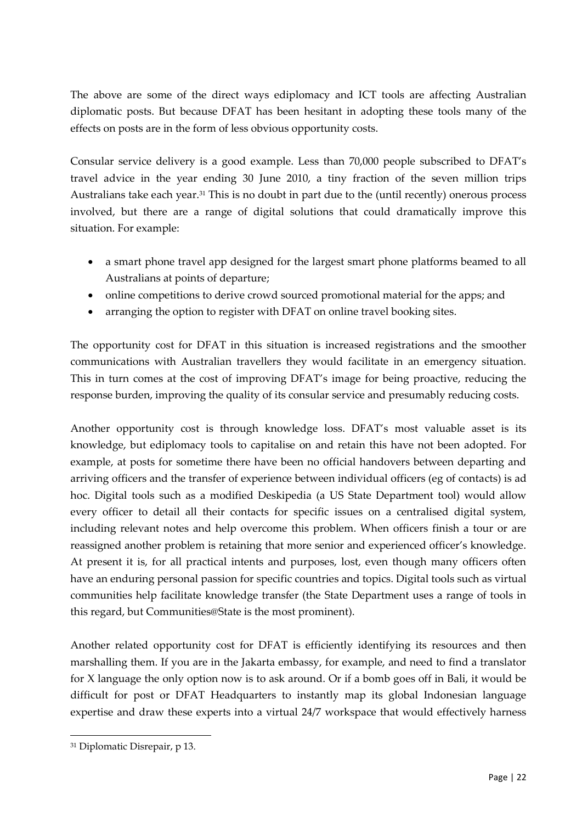The above are some of the direct ways ediplomacy and ICT tools are affecting Australian diplomatic posts. But because DFAT has been hesitant in adopting these tools many of the effects on posts are in the form of less obvious opportunity costs.

Consular service delivery is a good example. Less than 70,000 people subscribed to DFAT's travel advice in the year ending 30 June 2010, a tiny fraction of the seven million trips Australians take each year.<sup>31</sup> This is no doubt in part due to the (until recently) onerous process involved, but there are a range of digital solutions that could dramatically improve this situation. For example:

- a smart phone travel app designed for the largest smart phone platforms beamed to all Australians at points of departure;
- online competitions to derive crowd sourced promotional material for the apps; and
- arranging the option to register with DFAT on online travel booking sites.

The opportunity cost for DFAT in this situation is increased registrations and the smoother communications with Australian travellers they would facilitate in an emergency situation. This in turn comes at the cost of improving DFAT's image for being proactive, reducing the response burden, improving the quality of its consular service and presumably reducing costs.

Another opportunity cost is through knowledge loss. DFAT's most valuable asset is its knowledge, but ediplomacy tools to capitalise on and retain this have not been adopted. For example, at posts for sometime there have been no official handovers between departing and arriving officers and the transfer of experience between individual officers (eg of contacts) is ad hoc. Digital tools such as a modified Deskipedia (a US State Department tool) would allow every officer to detail all their contacts for specific issues on a centralised digital system, including relevant notes and help overcome this problem. When officers finish a tour or are reassigned another problem is retaining that more senior and experienced officer's knowledge. At present it is, for all practical intents and purposes, lost, even though many officers often have an enduring personal passion for specific countries and topics. Digital tools such as virtual communities help facilitate knowledge transfer (the State Department uses a range of tools in this regard, but Communities@State is the most prominent).

Another related opportunity cost for DFAT is efficiently identifying its resources and then marshalling them. If you are in the Jakarta embassy, for example, and need to find a translator for X language the only option now is to ask around. Or if a bomb goes off in Bali, it would be difficult for post or DFAT Headquarters to instantly map its global Indonesian language expertise and draw these experts into a virtual 24/7 workspace that would effectively harness

<sup>31</sup> Diplomatic Disrepair, p 13.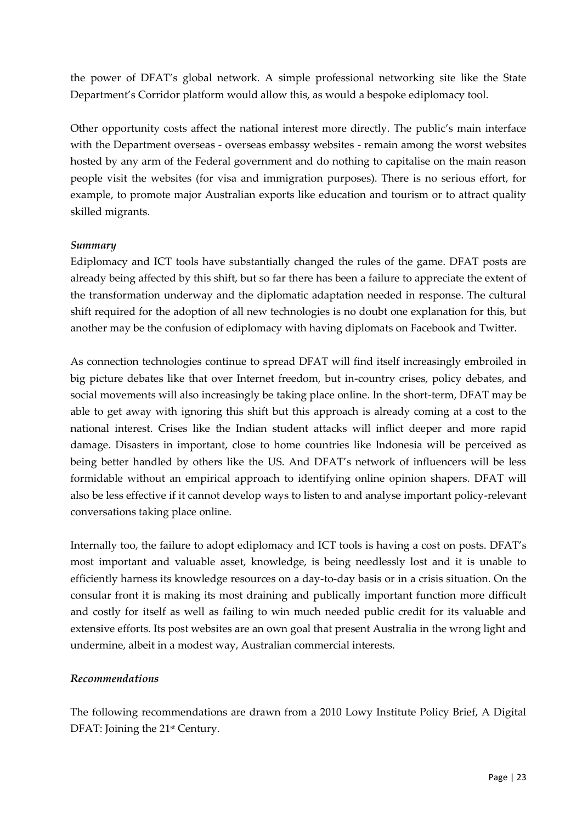the power of DFAT's global network. A simple professional networking site like the State Department's Corridor platform would allow this, as would a bespoke ediplomacy tool.

Other opportunity costs affect the national interest more directly. The public's main interface with the Department overseas - overseas embassy websites - remain among the worst websites hosted by any arm of the Federal government and do nothing to capitalise on the main reason people visit the websites (for visa and immigration purposes). There is no serious effort, for example, to promote major Australian exports like education and tourism or to attract quality skilled migrants.

#### *Summary*

Ediplomacy and ICT tools have substantially changed the rules of the game. DFAT posts are already being affected by this shift, but so far there has been a failure to appreciate the extent of the transformation underway and the diplomatic adaptation needed in response. The cultural shift required for the adoption of all new technologies is no doubt one explanation for this, but another may be the confusion of ediplomacy with having diplomats on Facebook and Twitter.

As connection technologies continue to spread DFAT will find itself increasingly embroiled in big picture debates like that over Internet freedom, but in-country crises, policy debates, and social movements will also increasingly be taking place online. In the short-term, DFAT may be able to get away with ignoring this shift but this approach is already coming at a cost to the national interest. Crises like the Indian student attacks will inflict deeper and more rapid damage. Disasters in important, close to home countries like Indonesia will be perceived as being better handled by others like the US. And DFAT's network of influencers will be less formidable without an empirical approach to identifying online opinion shapers. DFAT will also be less effective if it cannot develop ways to listen to and analyse important policy-relevant conversations taking place online.

Internally too, the failure to adopt ediplomacy and ICT tools is having a cost on posts. DFAT's most important and valuable asset, knowledge, is being needlessly lost and it is unable to efficiently harness its knowledge resources on a day-to-day basis or in a crisis situation. On the consular front it is making its most draining and publically important function more difficult and costly for itself as well as failing to win much needed public credit for its valuable and extensive efforts. Its post websites are an own goal that present Australia in the wrong light and undermine, albeit in a modest way, Australian commercial interests.

## *Recommendations*

The following recommendations are drawn from a 2010 Lowy Institute Policy Brief, A Digital DFAT: Joining the 21<sup>st</sup> Century.